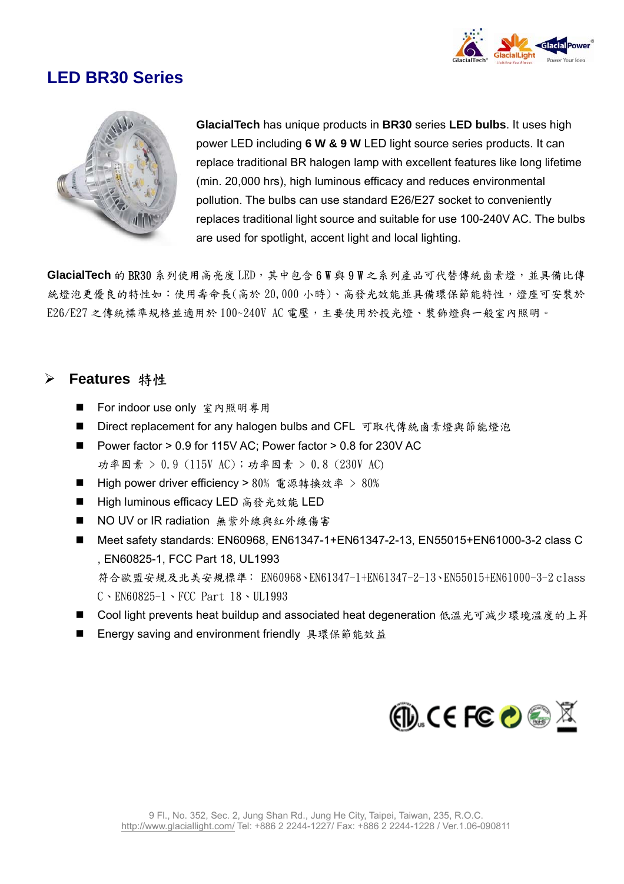

## **LED BR30 Series**



**GlacialTech** has unique products in **BR30** series **LED bulbs**. It uses high power LED including **6 W & 9 W** LED light source series products. It can replace traditional BR halogen lamp with excellent features like long lifetime (min. 20,000 hrs), high luminous efficacy and reduces environmental pollution. The bulbs can use standard E26/E27 socket to conveniently replaces traditional light source and suitable for use 100-240V AC. The b ulbs are used for spotlight, accent light and local lighting.

GlacialTech 的 BR30 系列使用高亮度 LED,其中包含 6 W 與 9 W 之系列產品可代替傳統鹵素燈,並具備比傳 統燈泡更優良的特性如:使用壽命長(高於 20,000 小時)、高發光效能並具備環保節能特性,燈座可安裝於 E26/E27 之傳統標準規格並適用於 100~240V AC 電壓,主要使用於投光燈、裝飾燈與一般室內照明。

#### ¾ **Features** 特性

- For indoor use only 室內照明專用
- Direct replacement for any halogen bulbs and CFL 可取代傳統鹵素燈與節能燈泡
- Power factor > 0.9 for 115V AC; Power factor > 0.8 for 230V AC 功率因素 > 0.9 (115V AC);功率因素 > 0.8 (230V AC)
- High power driver efficiency > 80% 電源轉換效率 > 80%
- High luminous efficacy LED 高發光效能 LED
- NO UV or IR radiation 無紫外線與紅外線傷害
- Meet safety standards: EN60968, EN61347-1+EN61347-2-13, EN55015+EN61000-3-2 class C , EN60825-1, FCC Part 18, UL1993 符合歐盟安規及北美安規標準: EN60968、EN61347-1+EN61347-2-13、EN55015+EN61000-3-2 class C、EN60825-1、FCC Part 18、UL1993
- Cool light prevents heat buildup and associated heat degeneration 低溫光可減少環境溫度的上昇
- Energy saving and environment friendly 具環保節能效益

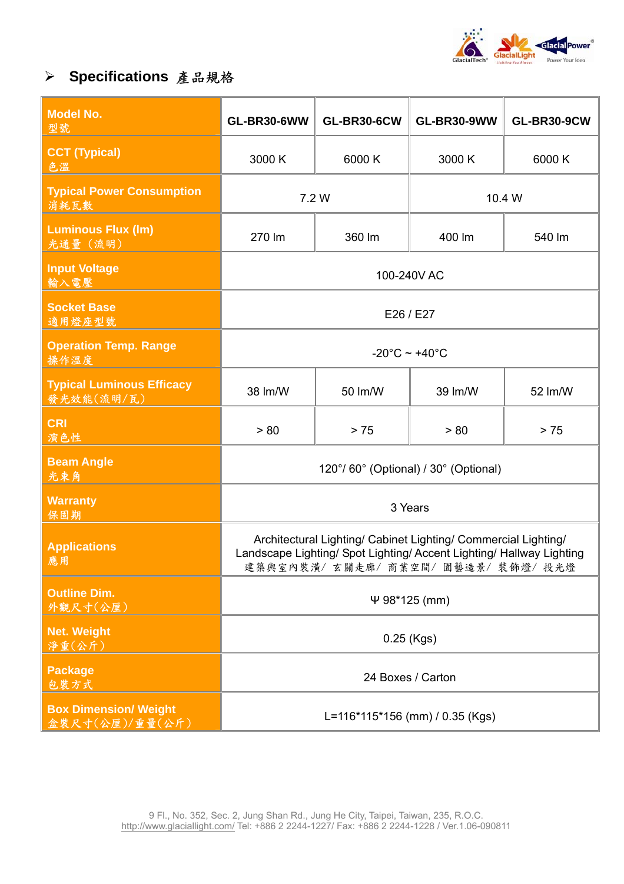

# ¾ **Specifications** 產品規格

| <b>Model No.</b><br>型號                          | <b>GL-BR30-6WW</b>                                                                                                                                                            | <b>GL-BR30-6CW</b> | <b>GL-BR30-9WW</b> | <b>GL-BR30-9CW</b> |
|-------------------------------------------------|-------------------------------------------------------------------------------------------------------------------------------------------------------------------------------|--------------------|--------------------|--------------------|
| <b>CCT (Typical)</b><br>色温                      | 3000 K                                                                                                                                                                        | 6000K              | 3000 K             | 6000K              |
| <b>Typical Power Consumption</b><br>消耗瓦數        | 7.2 W                                                                                                                                                                         |                    | 10.4 W             |                    |
| <b>Luminous Flux (Im)</b><br>光通量 (流明)           | 270 lm                                                                                                                                                                        | 360 lm             | 400 lm             | 540 lm             |
| <b>Input Voltage</b><br>輸入電壓                    | 100-240V AC                                                                                                                                                                   |                    |                    |                    |
| <b>Socket Base</b><br>適用燈座型號                    | E26 / E27                                                                                                                                                                     |                    |                    |                    |
| <b>Operation Temp. Range</b><br>操作溫度            | $-20^{\circ}$ C ~ +40 $^{\circ}$ C                                                                                                                                            |                    |                    |                    |
| <b>Typical Luminous Efficacy</b><br>發光效能(流明/瓦)  | 38 lm/W                                                                                                                                                                       | 50 lm/W            | 39 lm/W            | 52 lm/W            |
| <b>CRI</b><br>演色性                               | > 80                                                                                                                                                                          | > 75               | > 80               | > 75               |
| <b>Beam Angle</b><br>光束角                        | 120°/60° (Optional) / 30° (Optional)                                                                                                                                          |                    |                    |                    |
| <b>Warranty</b><br>保固期                          | 3 Years                                                                                                                                                                       |                    |                    |                    |
| <b>Applications</b><br>應用                       | Architectural Lighting/ Cabinet Lighting/ Commercial Lighting/<br>Landscape Lighting/ Spot Lighting/ Accent Lighting/ Hallway Lighting<br>建築與室內裝潢/ 玄關走廊/ 商業空間/ 園藝造景/ 裝飾燈/ 投光燈 |                    |                    |                    |
| <b>Outline Dim.</b><br>外觀尺寸(公厘)                 | $\Psi$ 98*125 (mm)                                                                                                                                                            |                    |                    |                    |
| <b>Net. Weight</b><br>淨重(公斤)                    | $0.25$ (Kgs)                                                                                                                                                                  |                    |                    |                    |
| <b>Package</b><br>包装方式                          | 24 Boxes / Carton                                                                                                                                                             |                    |                    |                    |
| <b>Box Dimension/ Weight</b><br>盒装尺寸(公厘)/重量(公斤) | L=116*115*156 (mm) / 0.35 (Kgs)                                                                                                                                               |                    |                    |                    |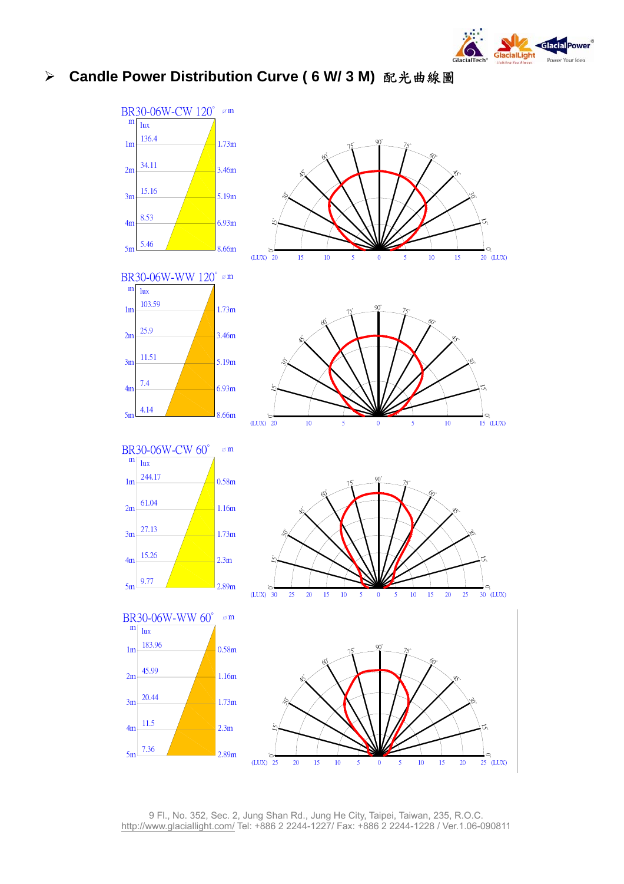

#### ¾ **Candle Power Distribution Curve ( 6 W/ 3 M)** 配光曲線圖



9 Fl., No. 352, Sec. 2, Jung Shan Rd., Jung He City, Taipei, Taiwan, 235, R.O.C. http://www.glaciallight.com/ Tel: +886 2 2244-1227/ Fax: +886 2 2244-1228 / Ver.1.06-090811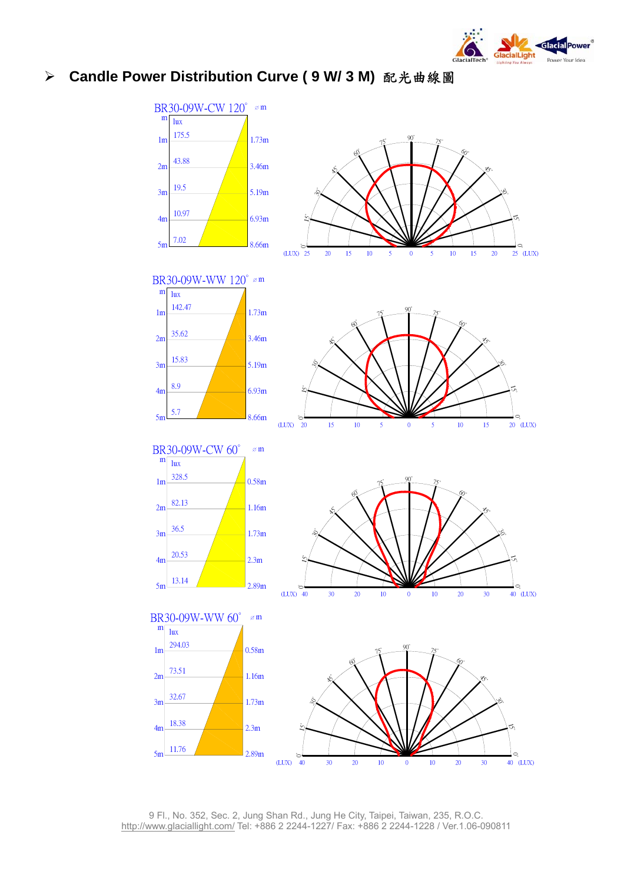

#### ¾ **Candle Power Distribution Curve ( 9 W/ 3 M)** 配光曲線圖



9 Fl., No. 352, Sec. 2, Jung Shan Rd., Jung He City, Taipei, Taiwan, 235, R.O.C. http://www.glaciallight.com/ Tel: +886 2 2244-1227/ Fax: +886 2 2244-1228 / Ver.1.06-090811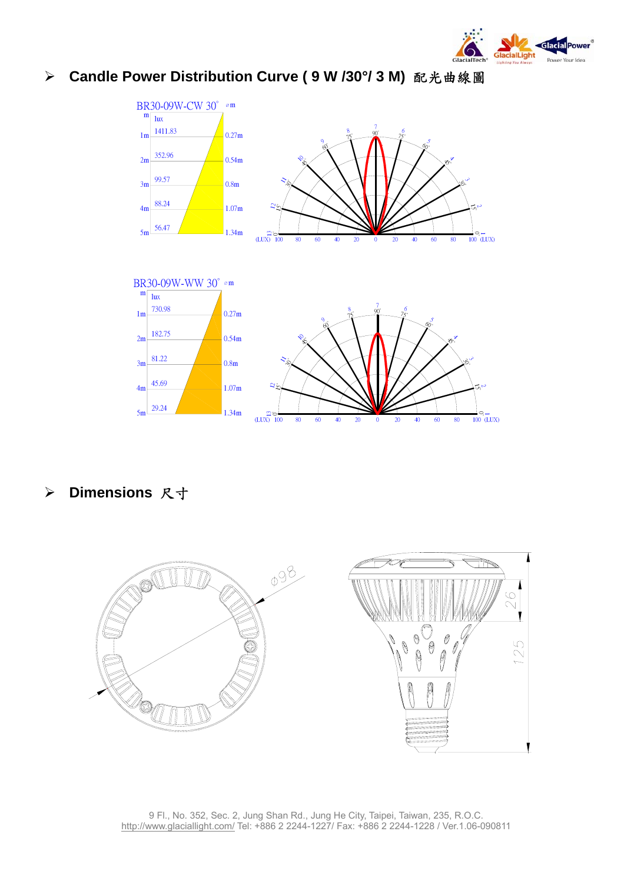

#### ¾ **Candle Power Distribution Curve ( 9 W /30°/ 3 M)** 配光曲線圖



¾ **Dimensions** 尺寸